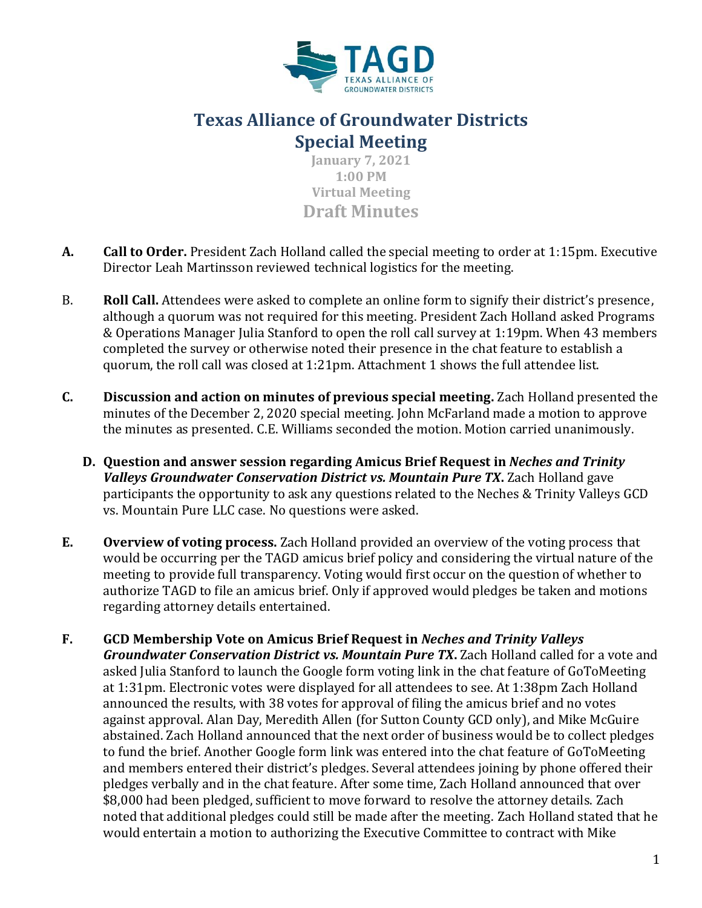

## **Texas Alliance of Groundwater Districts Special Meeting**

**January 7, 2021 1:00 PM Virtual Meeting Draft Minutes**

- **A. Call to Order.** President Zach Holland called the special meeting to order at 1:15pm. Executive Director Leah Martinsson reviewed technical logistics for the meeting.
- B. **Roll Call.** Attendees were asked to complete an online form to signify their district's presence, although a quorum was not required for this meeting. President Zach Holland asked Programs & Operations Manager Julia Stanford to open the roll call survey at 1:19pm. When 43 members completed the survey or otherwise noted their presence in the chat feature to establish a quorum, the roll call was closed at 1:21pm. Attachment 1 shows the full attendee list.
- **C. Discussion and action on minutes of previous special meeting.** Zach Holland presented the minutes of the December 2, 2020 special meeting. John McFarland made a motion to approve the minutes as presented. C.E. Williams seconded the motion. Motion carried unanimously.
	- **D. Question and answer session regarding Amicus Brief Request in** *Neches and Trinity Valleys Groundwater Conservation District vs. Mountain Pure TX. Zach Holland gave* participants the opportunity to ask any questions related to the Neches & Trinity Valleys GCD vs. Mountain Pure LLC case. No questions were asked.
- **E. Overview of voting process.** Zach Holland provided an overview of the voting process that would be occurring per the TAGD amicus brief policy and considering the virtual nature of the meeting to provide full transparency. Voting would first occur on the question of whether to authorize TAGD to file an amicus brief. Only if approved would pledges be taken and motions regarding attorney details entertained.
- **F. GCD Membership Vote on Amicus Brief Request in** *Neches and Trinity Valleys Groundwater Conservation District vs. Mountain Pure TX***.** Zach Holland called for a vote and asked Julia Stanford to launch the Google form voting link in the chat feature of GoToMeeting at 1:31pm. Electronic votes were displayed for all attendees to see. At 1:38pm Zach Holland announced the results, with 38 votes for approval of filing the amicus brief and no votes against approval. Alan Day, Meredith Allen (for Sutton County GCD only), and Mike McGuire abstained. Zach Holland announced that the next order of business would be to collect pledges to fund the brief. Another Google form link was entered into the chat feature of GoToMeeting and members entered their district's pledges. Several attendees joining by phone offered their pledges verbally and in the chat feature. After some time, Zach Holland announced that over \$8,000 had been pledged, sufficient to move forward to resolve the attorney details. Zach noted that additional pledges could still be made after the meeting. Zach Holland stated that he would entertain a motion to authorizing the Executive Committee to contract with Mike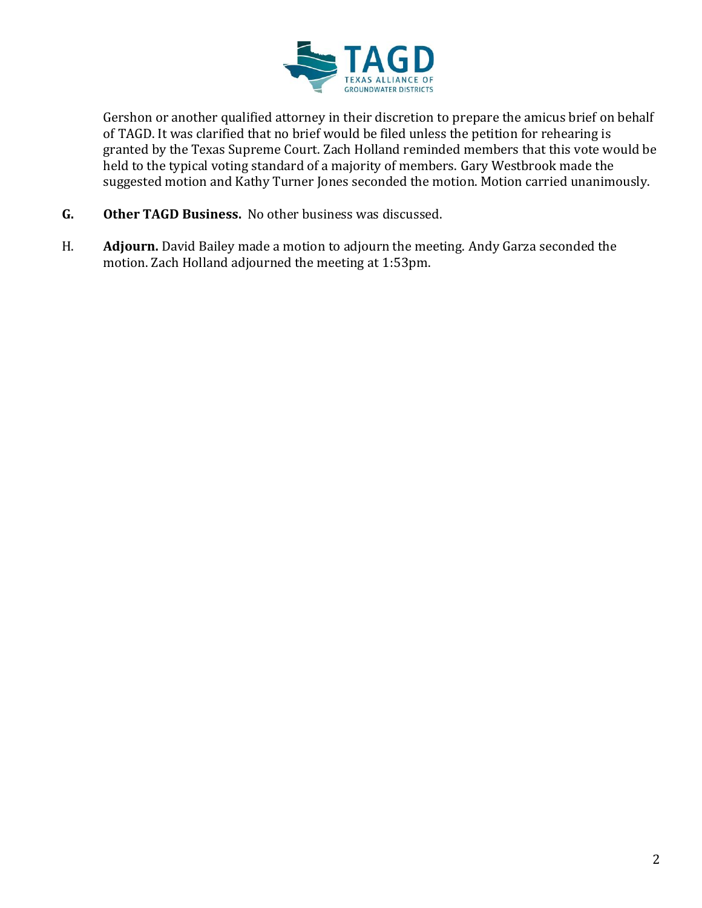

Gershon or another qualified attorney in their discretion to prepare the amicus brief on behalf of TAGD. It was clarified that no brief would be filed unless the petition for rehearing is granted by the Texas Supreme Court. Zach Holland reminded members that this vote would be held to the typical voting standard of a majority of members. Gary Westbrook made the suggested motion and Kathy Turner Jones seconded the motion. Motion carried unanimously.

- **G. Other TAGD Business.** No other business was discussed.
- H. **Adjourn.** David Bailey made a motion to adjourn the meeting. Andy Garza seconded the motion. Zach Holland adjourned the meeting at 1:53pm.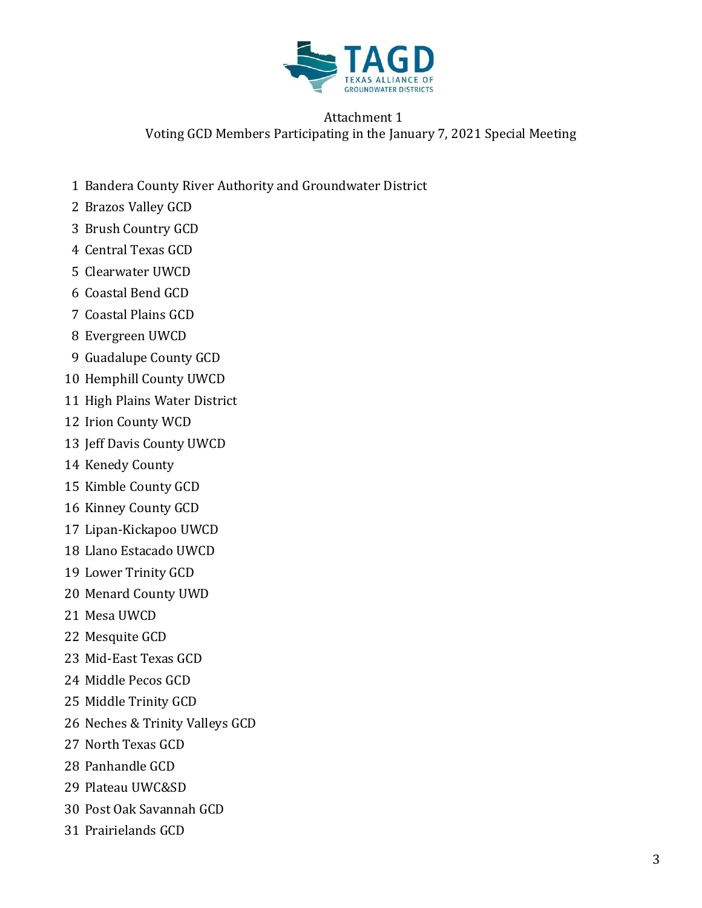

## Attachment 1 Voting GCD Members Participating in the January 7, 2021 Special Meeting

- Bandera County River Authority and Groundwater District
- Brazos Valley GCD
- Brush Country GCD
- Central Texas GCD
- Clearwater UWCD
- Coastal Bend GCD
- Coastal Plains GCD
- Evergreen UWCD
- Guadalupe County GCD
- Hemphill County UWCD
- High Plains Water District
- Irion County WCD
- Jeff Davis County UWCD
- Kenedy County
- Kimble County GCD
- Kinney County GCD
- Lipan-Kickapoo UWCD
- Llano Estacado UWCD
- Lower Trinity GCD
- Menard County UWD
- Mesa UWCD
- Mesquite GCD
- Mid-East Texas GCD
- Middle Pecos GCD
- Middle Trinity GCD
- Neches & Trinity Valleys GCD
- North Texas GCD
- Panhandle GCD
- Plateau UWC&SD
- Post Oak Savannah GCD
- Prairielands GCD